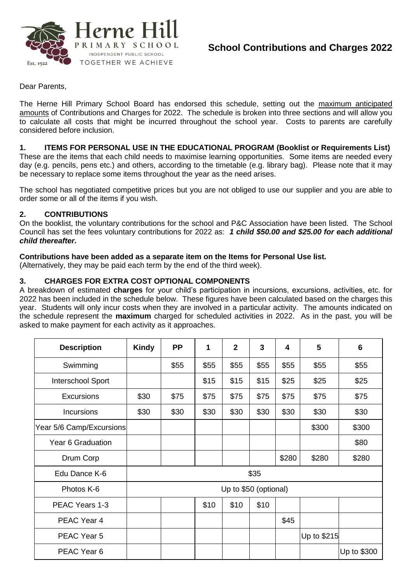

# **School Contributions and Charges 2022**

Dear Parents,

The Herne Hill Primary School Board has endorsed this schedule, setting out the maximum anticipated amounts of Contributions and Charges for 2022. The schedule is broken into three sections and will allow you to calculate all costs that might be incurred throughout the school year. Costs to parents are carefully considered before inclusion.

## **1. ITEMS FOR PERSONAL USE IN THE EDUCATIONAL PROGRAM (Booklist or Requirements List)**

These are the items that each child needs to maximise learning opportunities. Some items are needed every day (e.g. pencils, pens etc.) and others, according to the timetable (e.g. library bag). Please note that it may be necessary to replace some items throughout the year as the need arises.

The school has negotiated competitive prices but you are not obliged to use our supplier and you are able to order some or all of the items if you wish.

#### **2. CONTRIBUTIONS**

On the booklist, the voluntary contributions for the school and P&C Association have been listed. The School Council has set the fees voluntary contributions for 2022 as: *1 child \$50.00 and \$25.00 for each additional child thereafter.*

#### **Contributions have been added as a separate item on the Items for Personal Use list.**

(Alternatively, they may be paid each term by the end of the third week).

## **3. CHARGES FOR EXTRA COST OPTIONAL COMPONENTS**

A breakdown of estimated **charges** for your child's participation in incursions, excursions, activities, etc. for 2022 has been included in the schedule below. These figures have been calculated based on the charges this year. Students will only incur costs when they are involved in a particular activity. The amounts indicated on the schedule represent the **maximum** charged for scheduled activities in 2022. As in the past, you will be asked to make payment for each activity as it approaches.

| <b>Description</b>       | <b>Kindy</b>          | <b>PP</b> | 1    | $\overline{2}$ | 3    | 4     | 5           | 6           |
|--------------------------|-----------------------|-----------|------|----------------|------|-------|-------------|-------------|
| Swimming                 |                       | \$55      | \$55 | \$55           | \$55 | \$55  | \$55        | \$55        |
| Interschool Sport        |                       |           | \$15 | \$15           | \$15 | \$25  | \$25        | \$25        |
| <b>Excursions</b>        | \$30                  | \$75      | \$75 | \$75           | \$75 | \$75  | \$75        | \$75        |
| <b>Incursions</b>        | \$30                  | \$30      | \$30 | \$30           | \$30 | \$30  | \$30        | \$30        |
| Year 5/6 Camp/Excursions |                       |           |      |                |      |       | \$300       | \$300       |
| Year 6 Graduation        |                       |           |      |                |      |       |             | \$80        |
| Drum Corp                |                       |           |      |                |      | \$280 | \$280       | \$280       |
| Edu Dance K-6            | \$35                  |           |      |                |      |       |             |             |
| Photos K-6               | Up to \$50 (optional) |           |      |                |      |       |             |             |
| PEAC Years 1-3           |                       |           | \$10 | \$10           | \$10 |       |             |             |
| PEAC Year 4              |                       |           |      |                |      | \$45  |             |             |
| PEAC Year 5              |                       |           |      |                |      |       | Up to \$215 |             |
| PEAC Year 6              |                       |           |      |                |      |       |             | Up to \$300 |